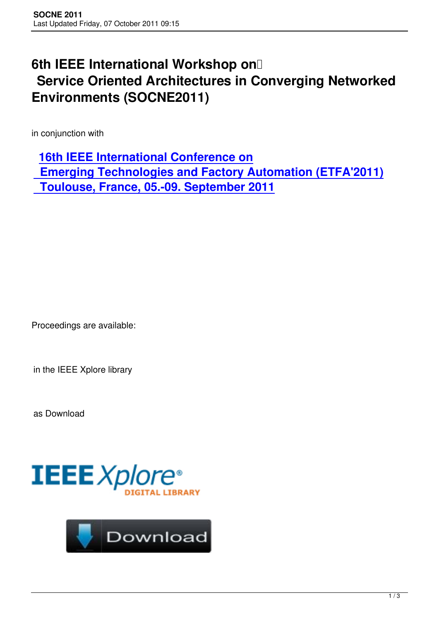## **6th IEEE International Workshop on**<sup>[]</sup> **Service Oriented Architectures in Converging Networked Environments (SOCNE2011)**

in conjunction with

**16th IEEE International Conference on**

 **Emerging Technologies and Factory Automation (ETFA'2011) [Toulouse, France, 05.-09. September 2](http://www.etfa-2011.org/)011**

Proceedings are available:

in the IEEE Xplore library

as Download



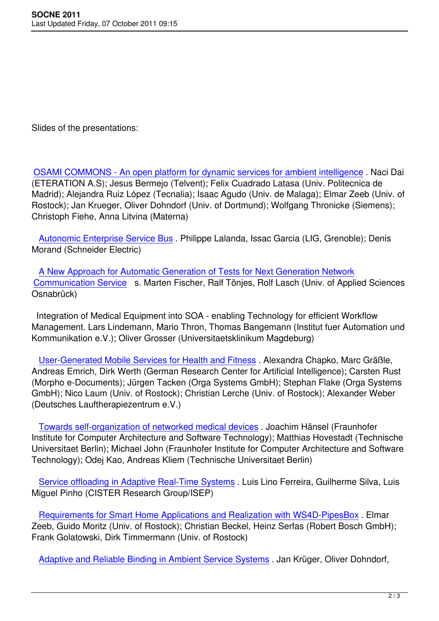Slides of the presentations:

OSAMI COMMONS - An open platform for dynamic services for ambient intelligence . Naci Dai (ETERATION A.S); Jesus Bermejo (Telvent); Felix Cuadrado Latasa (Univ. Politecnica de Madrid); Alejandra Ruiz López (Tecnalia); Isaac Agudo (Univ. de Malaga); Elmar Zeeb (Univ. of [Rostock\); Jan Krueger, Oliver Dohndorf \(Univ. of Dortmund\); Wolfgang Thronicke \(Sie](http://www.socne.org/images/stories/2011/Web/2011_SOCNE_01.pdf)mens); Christoph Fiehe, Anna Litvina (Materna)

 Autonomic Enterprise Service Bus . Philippe Lalanda, Issac Garcia (LIG, Grenoble); Denis Morand (Schneider Electric)

 [A New Approach for Automatic Ge](http://www.socne.org/images/stories/2011/Web/2011_SOCNE_02.pdf)neration of Tests for Next Generation Network Communication Service s. Marten Fischer, Ralf Tönjes, Rolf Lasch (Univ. of Applied Sciences Osnabrück)

 [Integration of Medical Equipment into SOA - enabling Technology for efficient Wo](http://www.socne.org/images/stories/2011/Web/2011_SOCNE_03.pdf)rkflow Management. Lars Lindemann, Mario Thron, Thomas Bangemann (Institut fuer Automation und Kommunikation e.V.); Oliver Grosser (Universitaetsklinikum Magdeburg)

 User-Generated Mobile Services for Health and Fitness . Alexandra Chapko, Marc Gräßle, Andreas Emrich, Dirk Werth (German Research Center for Artificial Intelligence); Carsten Rust (Morpho e-Documents); Jürgen Tacken (Orga Systems GmbH); Stephan Flake (Orga Systems G[mbH\); Nico Laum \(Univ. of Rostock\); Christian Lerche \(U](http://www.socne.org/images/stories/2011/Web/2011_SOCNE_05.pdf)niv. of Rostock); Alexander Weber (Deutsches Lauftherapiezentrum e.V.)

 Towards self-organization of networked medical devices . Joachim Hänsel (Fraunhofer Institute for Computer Architecture and Software Technology); Matthias Hovestadt (Technische Universitaet Berlin); Michael John (Fraunhofer Institute for Computer Architecture and Software T[echnology\); Odej Kao, Andreas Kliem \(Technische Unive](http://www.socne.org/images/stories/2011/Web/2011_SOCNE_06.pdf)rsitaet Berlin)

 Service offloading in Adaptive Real-Time Systems . Luis Lino Ferreira, Guilherme Silva, Luis Miguel Pinho (CISTER Research Group/ISEP)

 [Requirements for Smart Home Applications and Re](http://www.socne.org/images/stories/2011/Web/2011_SOCNE_07.pdf)alization with WS4D-PipesBox . Elmar Zeeb, Guido Moritz (Univ. of Rostock); Christian Beckel, Heinz Serfas (Robert Bosch GmbH); Frank Golatowski, Dirk Timmermann (Univ. of Rostock)

[Adaptive and Reliable Binding in Ambient Service Systems](http://www.socne.org/images/stories/2011/Web/2011_SOCNE_08.pdf) . Jan Krüger, Oliver Dohndorf,